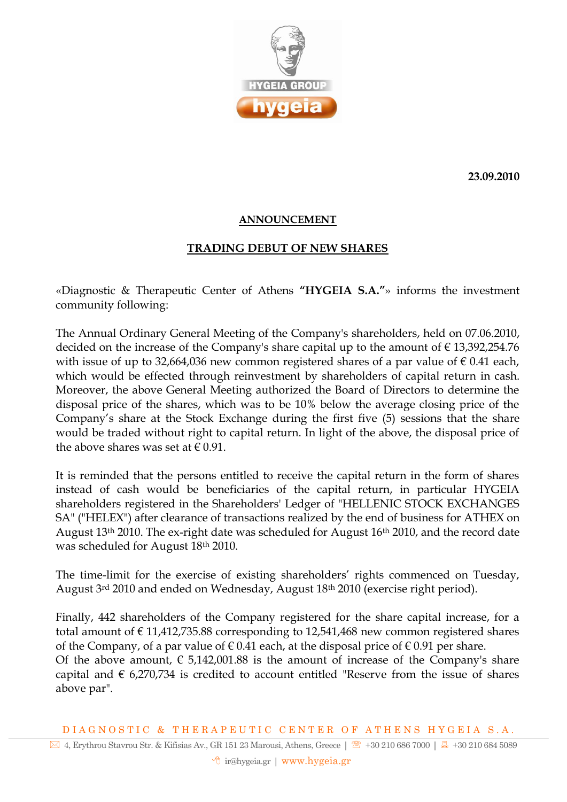

**23.09.2010**

## **ANNOUNCEMENT**

## **TRADING DEBUT OF NEW SHARES**

«Diagnostic & Therapeutic Center of Athens **"HYGEIA S.A."**» informs the investment community following:

The Annual Ordinary General Meeting of the Company's shareholders, held on 07.06.2010, decided on the increase of the Company's share capital up to the amount of  $\epsilon$  13,392,254.76 with issue of up to 32,664,036 new common registered shares of a par value of  $\epsilon$  0.41 each, which would be effected through reinvestment by shareholders of capital return in cash. Moreover, the above General Meeting authorized the Board of Directors to determine the disposal price of the shares, which was to be 10% below the average closing price of the Company's share at the Stock Exchange during the first five (5) sessions that the share would be traded without right to capital return. In light of the above, the disposal price of the above shares was set at  $\epsilon$  0.91.

It is reminded that the persons entitled to receive the capital return in the form of shares instead of cash would be beneficiaries of the capital return, in particular HYGEIA shareholders registered in the Shareholders' Ledger of "HELLENIC STOCK EXCHANGES SA" ("HELEX") after clearance of transactions realized by the end of business for ATHEX on August 13th 2010. The ex-right date was scheduled for August 16th 2010, and the record date was scheduled for August 18th 2010.

The time-limit for the exercise of existing shareholders' rights commenced on Tuesday, August 3<sup>rd</sup> 2010 and ended on Wednesday, August 18<sup>th</sup> 2010 (exercise right period).

Finally, 442 shareholders of the Company registered for the share capital increase, for a total amount of  $\epsilon$  11,412,735.88 corresponding to 12,541,468 new common registered shares of the Company, of a par value of  $\epsilon$  0.41 each, at the disposal price of  $\epsilon$  0.91 per share. Of the above amount,  $\epsilon$  5,142,001.88 is the amount of increase of the Company's share capital and  $\epsilon$  6,270,734 is credited to account entitled "Reserve from the issue of shares above par".